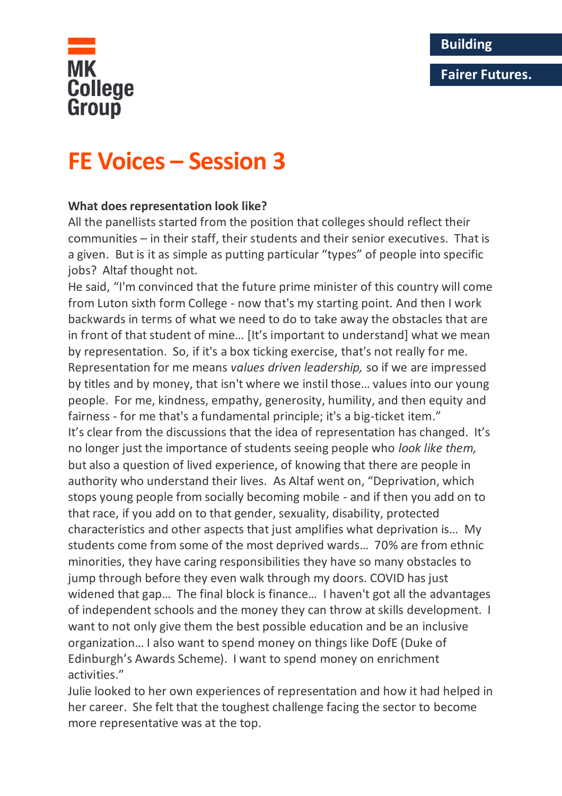## **Fairer Futures.**



# **FE Voices – Session 3**

### **What does representation look like?**

All the panellists started from the position that colleges should reflect their communities – in their staff, their students and their senior executives. That is a given. But is it as simple as putting particular "types" of people into specific jobs? Altaf thought not.

He said, "I'm convinced that the future prime minister of this country will come from Luton sixth form College - now that's my starting point. And then I work backwards in terms of what we need to do to take away the obstacles that are in front of that student of mine… [It's important to understand] what we mean by representation. So, if it's a box ticking exercise, that's not really for me. Representation for me means *values driven leadership,* so if we are impressed by titles and by money, that isn't where we instil those… values into our young people. For me, kindness, empathy, generosity, humility, and then equity and fairness - for me that's a fundamental principle; it's a big-ticket item." It's clear from the discussions that the idea of representation has changed. It's no longer just the importance of students seeing people who *look like them,*  but also a question of lived experience, of knowing that there are people in authority who understand their lives. As Altaf went on, "Deprivation, which stops young people from socially becoming mobile - and if then you add on to that race, if you add on to that gender, sexuality, disability, protected characteristics and other aspects that just amplifies what deprivation is… My students come from some of the most deprived wards… 70% are from ethnic minorities, they have caring responsibilities they have so many obstacles to jump through before they even walk through my doors. COVID has just widened that gap… The final block is finance… I haven't got all the advantages of independent schools and the money they can throw at skills development. I want to not only give them the best possible education and be an inclusive organization… I also want to spend money on things like DofE (Duke of Edinburgh's Awards Scheme). I want to spend money on enrichment activities."

Julie looked to her own experiences of representation and how it had helped in her career. She felt that the toughest challenge facing the sector to become more representative was at the top.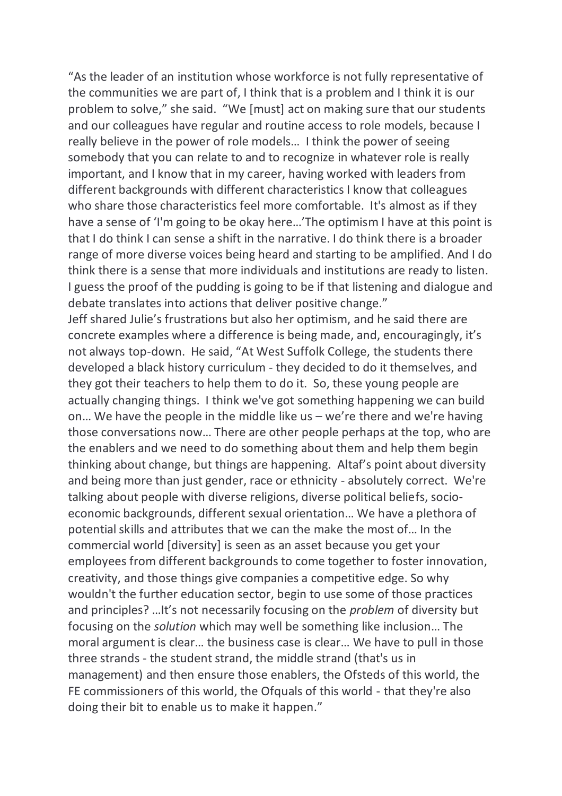"As the leader of an institution whose workforce is not fully representative of the communities we are part of, I think that is a problem and I think it is our problem to solve," she said. "We [must] act on making sure that our students and our colleagues have regular and routine access to role models, because I really believe in the power of role models… I think the power of seeing somebody that you can relate to and to recognize in whatever role is really important, and I know that in my career, having worked with leaders from different backgrounds with different characteristics I know that colleagues who share those characteristics feel more comfortable. It's almost as if they have a sense of 'I'm going to be okay here…'The optimism I have at this point is that I do think I can sense a shift in the narrative. I do think there is a broader range of more diverse voices being heard and starting to be amplified. And I do think there is a sense that more individuals and institutions are ready to listen. I guess the proof of the pudding is going to be if that listening and dialogue and debate translates into actions that deliver positive change."

Jeff shared Julie's frustrations but also her optimism, and he said there are concrete examples where a difference is being made, and, encouragingly, it's not always top-down. He said, "At West Suffolk College, the students there developed a black history curriculum - they decided to do it themselves, and they got their teachers to help them to do it. So, these young people are actually changing things. I think we've got something happening we can build on… We have the people in the middle like us – we're there and we're having those conversations now… There are other people perhaps at the top, who are the enablers and we need to do something about them and help them begin thinking about change, but things are happening. Altaf's point about diversity and being more than just gender, race or ethnicity - absolutely correct. We're talking about people with diverse religions, diverse political beliefs, socioeconomic backgrounds, different sexual orientation… We have a plethora of potential skills and attributes that we can the make the most of… In the commercial world [diversity] is seen as an asset because you get your employees from different backgrounds to come together to foster innovation, creativity, and those things give companies a competitive edge. So why wouldn't the further education sector, begin to use some of those practices and principles? …It's not necessarily focusing on the *problem* of diversity but focusing on the *solution* which may well be something like inclusion… The moral argument is clear… the business case is clear… We have to pull in those three strands - the student strand, the middle strand (that's us in management) and then ensure those enablers, the Ofsteds of this world, the FE commissioners of this world, the Ofquals of this world - that they're also doing their bit to enable us to make it happen."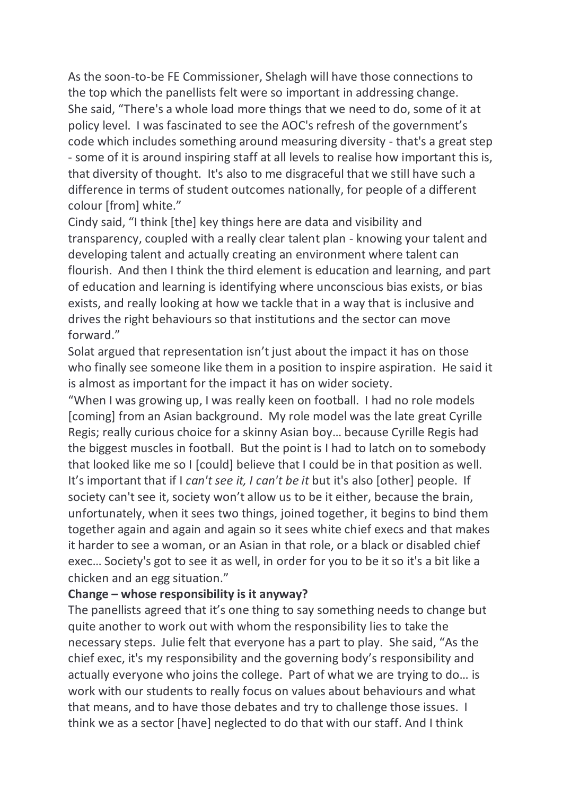As the soon-to-be FE Commissioner, Shelagh will have those connections to the top which the panellists felt were so important in addressing change. She said, "There's a whole load more things that we need to do, some of it at policy level. I was fascinated to see the AOC's refresh of the government's code which includes something around measuring diversity - that's a great step - some of it is around inspiring staff at all levels to realise how important this is, that diversity of thought. It's also to me disgraceful that we still have such a difference in terms of student outcomes nationally, for people of a different colour [from] white."

Cindy said, "I think [the] key things here are data and visibility and transparency, coupled with a really clear talent plan - knowing your talent and developing talent and actually creating an environment where talent can flourish. And then I think the third element is education and learning, and part of education and learning is identifying where unconscious bias exists, or bias exists, and really looking at how we tackle that in a way that is inclusive and drives the right behaviours so that institutions and the sector can move forward."

Solat argued that representation isn't just about the impact it has on those who finally see someone like them in a position to inspire aspiration. He said it is almost as important for the impact it has on wider society.

"When I was growing up, I was really keen on football. I had no role models [coming] from an Asian background. My role model was the late great Cyrille Regis; really curious choice for a skinny Asian boy… because Cyrille Regis had the biggest muscles in football. But the point is I had to latch on to somebody that looked like me so I [could] believe that I could be in that position as well. It's important that if I *can't see it, I can't be it* but it's also [other] people. If society can't see it, society won't allow us to be it either, because the brain, unfortunately, when it sees two things, joined together, it begins to bind them together again and again and again so it sees white chief execs and that makes it harder to see a woman, or an Asian in that role, or a black or disabled chief exec… Society's got to see it as well, in order for you to be it so it's a bit like a chicken and an egg situation."

#### **Change – whose responsibility is it anyway?**

The panellists agreed that it's one thing to say something needs to change but quite another to work out with whom the responsibility lies to take the necessary steps. Julie felt that everyone has a part to play. She said, "As the chief exec, it's my responsibility and the governing body's responsibility and actually everyone who joins the college. Part of what we are trying to do… is work with our students to really focus on values about behaviours and what that means, and to have those debates and try to challenge those issues. I think we as a sector [have] neglected to do that with our staff. And I think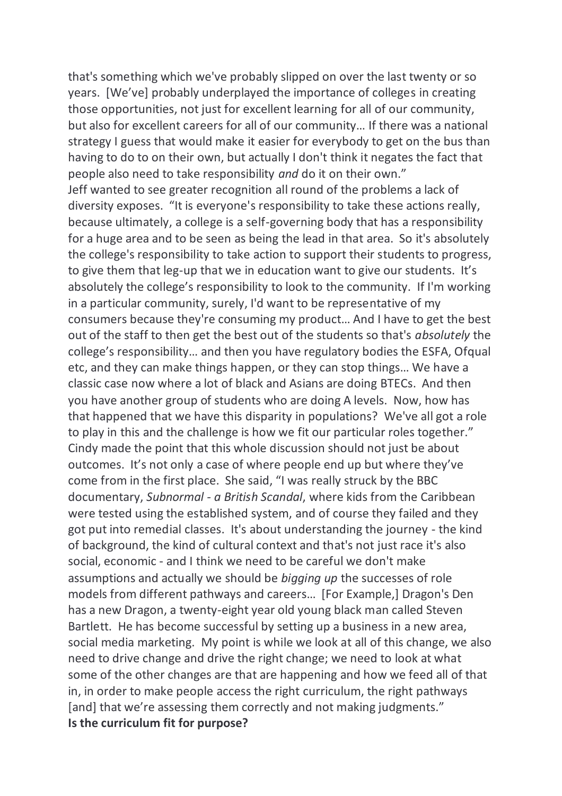that's something which we've probably slipped on over the last twenty or so years. [We've] probably underplayed the importance of colleges in creating those opportunities, not just for excellent learning for all of our community, but also for excellent careers for all of our community… If there was a national strategy I guess that would make it easier for everybody to get on the bus than having to do to on their own, but actually I don't think it negates the fact that people also need to take responsibility *and* do it on their own." Jeff wanted to see greater recognition all round of the problems a lack of diversity exposes. "It is everyone's responsibility to take these actions really, because ultimately, a college is a self-governing body that has a responsibility for a huge area and to be seen as being the lead in that area. So it's absolutely the college's responsibility to take action to support their students to progress, to give them that leg-up that we in education want to give our students. It's absolutely the college's responsibility to look to the community. If I'm working in a particular community, surely, I'd want to be representative of my consumers because they're consuming my product… And I have to get the best out of the staff to then get the best out of the students so that's *absolutely* the college's responsibility… and then you have regulatory bodies the ESFA, Ofqual etc, and they can make things happen, or they can stop things… We have a classic case now where a lot of black and Asians are doing BTECs. And then you have another group of students who are doing A levels. Now, how has that happened that we have this disparity in populations? We've all got a role to play in this and the challenge is how we fit our particular roles together." Cindy made the point that this whole discussion should not just be about outcomes. It's not only a case of where people end up but where they've come from in the first place. She said, "I was really struck by the BBC documentary, *Subnormal - a British Scandal*, where kids from the Caribbean were tested using the established system, and of course they failed and they got put into remedial classes. It's about understanding the journey - the kind of background, the kind of cultural context and that's not just race it's also social, economic - and I think we need to be careful we don't make assumptions and actually we should be *bigging up* the successes of role models from different pathways and careers… [For Example,] Dragon's Den has a new Dragon, a twenty-eight year old young black man called Steven Bartlett. He has become successful by setting up a business in a new area, social media marketing. My point is while we look at all of this change, we also need to drive change and drive the right change; we need to look at what some of the other changes are that are happening and how we feed all of that in, in order to make people access the right curriculum, the right pathways [and] that we're assessing them correctly and not making judgments." **Is the curriculum fit for purpose?**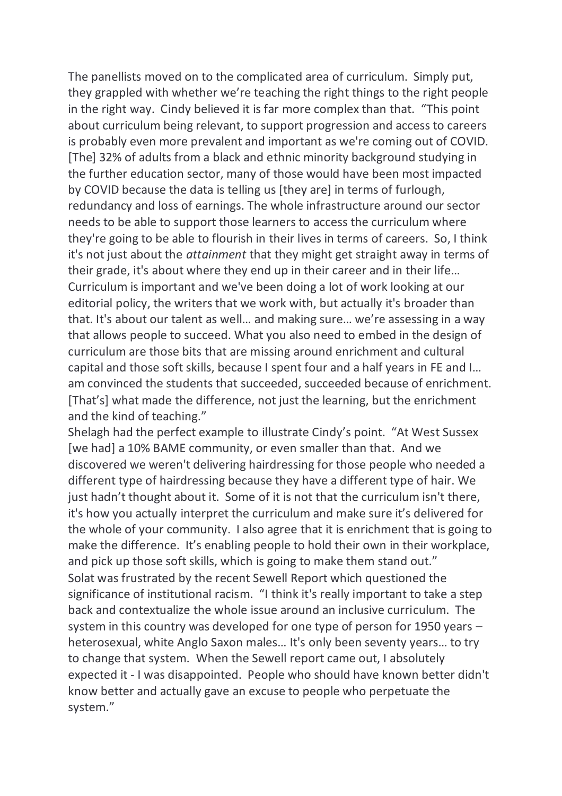The panellists moved on to the complicated area of curriculum. Simply put, they grappled with whether we're teaching the right things to the right people in the right way. Cindy believed it is far more complex than that. "This point about curriculum being relevant, to support progression and access to careers is probably even more prevalent and important as we're coming out of COVID. [The] 32% of adults from a black and ethnic minority background studying in the further education sector, many of those would have been most impacted by COVID because the data is telling us [they are] in terms of furlough, redundancy and loss of earnings. The whole infrastructure around our sector needs to be able to support those learners to access the curriculum where they're going to be able to flourish in their lives in terms of careers. So, I think it's not just about the *attainment* that they might get straight away in terms of their grade, it's about where they end up in their career and in their life… Curriculum is important and we've been doing a lot of work looking at our editorial policy, the writers that we work with, but actually it's broader than that. It's about our talent as well… and making sure… we're assessing in a way that allows people to succeed. What you also need to embed in the design of curriculum are those bits that are missing around enrichment and cultural capital and those soft skills, because I spent four and a half years in FE and I… am convinced the students that succeeded, succeeded because of enrichment. [That's] what made the difference, not just the learning, but the enrichment and the kind of teaching."

Shelagh had the perfect example to illustrate Cindy's point. "At West Sussex [we had] a 10% BAME community, or even smaller than that. And we discovered we weren't delivering hairdressing for those people who needed a different type of hairdressing because they have a different type of hair. We just hadn't thought about it. Some of it is not that the curriculum isn't there, it's how you actually interpret the curriculum and make sure it's delivered for the whole of your community. I also agree that it is enrichment that is going to make the difference. It's enabling people to hold their own in their workplace, and pick up those soft skills, which is going to make them stand out." Solat was frustrated by the recent Sewell Report which questioned the significance of institutional racism. "I think it's really important to take a step back and contextualize the whole issue around an inclusive curriculum. The system in this country was developed for one type of person for 1950 years – heterosexual, white Anglo Saxon males… It's only been seventy years… to try to change that system. When the Sewell report came out, I absolutely expected it - I was disappointed. People who should have known better didn't know better and actually gave an excuse to people who perpetuate the system."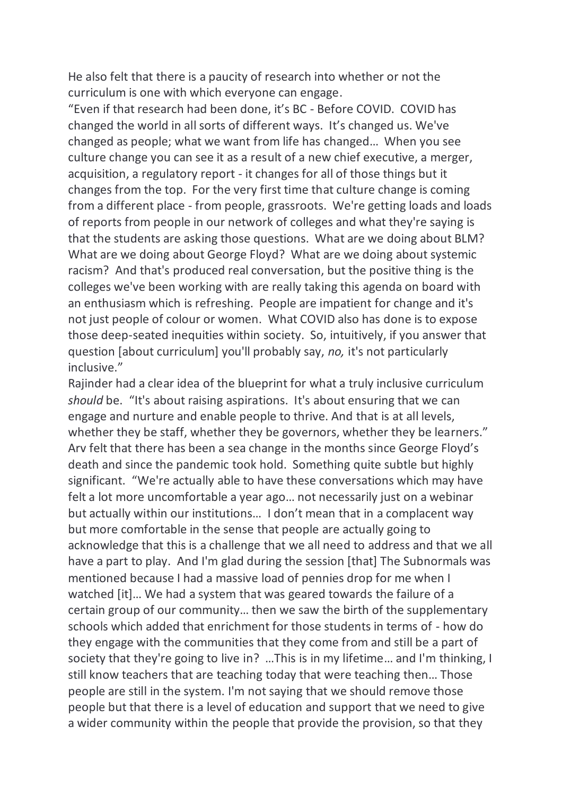He also felt that there is a paucity of research into whether or not the curriculum is one with which everyone can engage.

"Even if that research had been done, it's BC - Before COVID. COVID has changed the world in all sorts of different ways. It's changed us. We've changed as people; what we want from life has changed… When you see culture change you can see it as a result of a new chief executive, a merger, acquisition, a regulatory report - it changes for all of those things but it changes from the top. For the very first time that culture change is coming from a different place - from people, grassroots. We're getting loads and loads of reports from people in our network of colleges and what they're saying is that the students are asking those questions. What are we doing about BLM? What are we doing about George Floyd? What are we doing about systemic racism? And that's produced real conversation, but the positive thing is the colleges we've been working with are really taking this agenda on board with an enthusiasm which is refreshing. People are impatient for change and it's not just people of colour or women. What COVID also has done is to expose those deep-seated inequities within society. So, intuitively, if you answer that question [about curriculum] you'll probably say, *no,* it's not particularly inclusive."

Rajinder had a clear idea of the blueprint for what a truly inclusive curriculum *should* be. "It's about raising aspirations. It's about ensuring that we can engage and nurture and enable people to thrive. And that is at all levels, whether they be staff, whether they be governors, whether they be learners." Arv felt that there has been a sea change in the months since George Floyd's death and since the pandemic took hold. Something quite subtle but highly significant. "We're actually able to have these conversations which may have felt a lot more uncomfortable a year ago… not necessarily just on a webinar but actually within our institutions… I don't mean that in a complacent way but more comfortable in the sense that people are actually going to acknowledge that this is a challenge that we all need to address and that we all have a part to play. And I'm glad during the session [that] The Subnormals was mentioned because I had a massive load of pennies drop for me when I watched [it]… We had a system that was geared towards the failure of a certain group of our community… then we saw the birth of the supplementary schools which added that enrichment for those students in terms of - how do they engage with the communities that they come from and still be a part of society that they're going to live in? …This is in my lifetime… and I'm thinking, I still know teachers that are teaching today that were teaching then… Those people are still in the system. I'm not saying that we should remove those people but that there is a level of education and support that we need to give a wider community within the people that provide the provision, so that they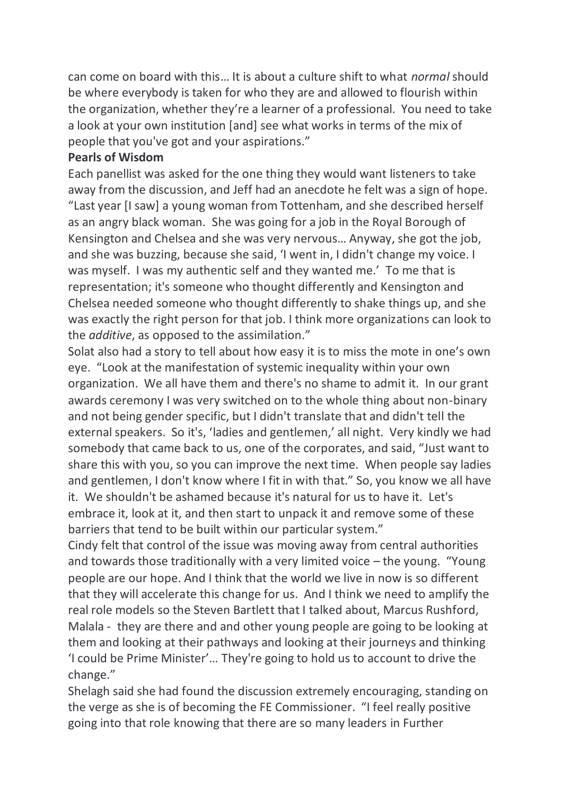can come on board with this… It is about a culture shift to what *normal* should be where everybody is taken for who they are and allowed to flourish within the organization, whether they're a learner of a professional. You need to take a look at your own institution [and] see what works in terms of the mix of people that you've got and your aspirations."

#### **Pearls of Wisdom**

Each panellist was asked for the one thing they would want listeners to take away from the discussion, and Jeff had an anecdote he felt was a sign of hope. "Last year [I saw] a young woman from Tottenham, and she described herself as an angry black woman. She was going for a job in the Royal Borough of Kensington and Chelsea and she was very nervous… Anyway, she got the job, and she was buzzing, because she said, 'I went in, I didn't change my voice. I was myself. I was my authentic self and they wanted me.' To me that is representation; it's someone who thought differently and Kensington and Chelsea needed someone who thought differently to shake things up, and she was exactly the right person for that job. I think more organizations can look to the *additive*, as opposed to the assimilation."

Solat also had a story to tell about how easy it is to miss the mote in one's own eye. "Look at the manifestation of systemic inequality within your own organization. We all have them and there's no shame to admit it. In our grant awards ceremony I was very switched on to the whole thing about non-binary and not being gender specific, but I didn't translate that and didn't tell the external speakers. So it's, 'ladies and gentlemen,' all night. Very kindly we had somebody that came back to us, one of the corporates, and said, "Just want to share this with you, so you can improve the next time. When people say ladies and gentlemen, I don't know where I fit in with that." So, you know we all have it. We shouldn't be ashamed because it's natural for us to have it. Let's embrace it, look at it, and then start to unpack it and remove some of these barriers that tend to be built within our particular system."

Cindy felt that control of the issue was moving away from central authorities and towards those traditionally with a very limited voice – the young. "Young people are our hope. And I think that the world we live in now is so different that they will accelerate this change for us. And I think we need to amplify the real role models so the Steven Bartlett that I talked about, Marcus Rushford, Malala - they are there and and other young people are going to be looking at them and looking at their pathways and looking at their journeys and thinking 'I could be Prime Minister'… They're going to hold us to account to drive the change."

Shelagh said she had found the discussion extremely encouraging, standing on the verge as she is of becoming the FE Commissioner. "I feel really positive going into that role knowing that there are so many leaders in Further